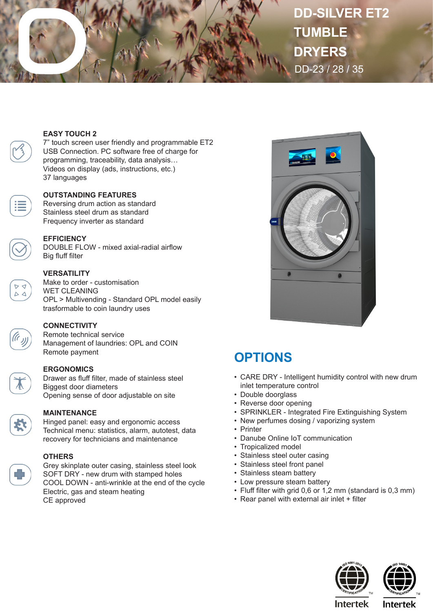

# **DD-SILVER ET2 TUMBLE DRYERS** DD-23 / 28 / 35

### **EASY TOUCH 2**

7" touch screen user friendly and programmable ET2 USB Connection. PC software free of charge for programming, traceability, data analysis… Videos on display (ads, instructions, etc.) 37 languages

#### **OUTSTANDING FEATURES**

Reversing drum action as standard Stainless steel drum as standard Frequency inverter as standard

### **EFFICIENCY**

DOUBLE FLOW - mixed axial-radial airflow Big fluff filter

### **VERSATILITY**

Make to order - customisation WET CLEANING OPL > Multivending - Standard OPL model easily trasformable to coin laundry uses

### **CONNECTIVITY**

Remote technical service Management of laundries: OPL and COIN Remote payment

### **ERGONOMICS**

Drawer as fluff filter, made of stainless steel Biggest door diameters Opening sense of door adjustable on site

 $\Delta$ 

#### **MAINTENANCE**

Hinged panel: easy and ergonomic access Technical menu: statistics, alarm, autotest, data recovery for technicians and maintenance

**OTHERS** Grey skinplate outer casing, stainless steel look SOFT DRY - new drum with stamped holes

COOL DOWN - anti-wrinkle at the end of the cycle Electric, gas and steam heating CE approved



## **OPTIONS**

- CARE DRY Intelligent humidity control with new drum inlet temperature control
- Double doorglass
- Reverse door opening
- SPRINKLER Integrated Fire Extinguishing System
- New perfumes dosing / vaporizing system
- Printer
- Danube Online IoT communication
- Tropicalized model
- Stainless steel outer casing
- Stainless steel front panel
- Stainless steam battery
- Low pressure steam battery
- Fluff filter with grid 0,6 or 1,2 mm (standard is 0,3 mm)
- Rear panel with external air inlet + filter





**Intertek** 

**Intertek**